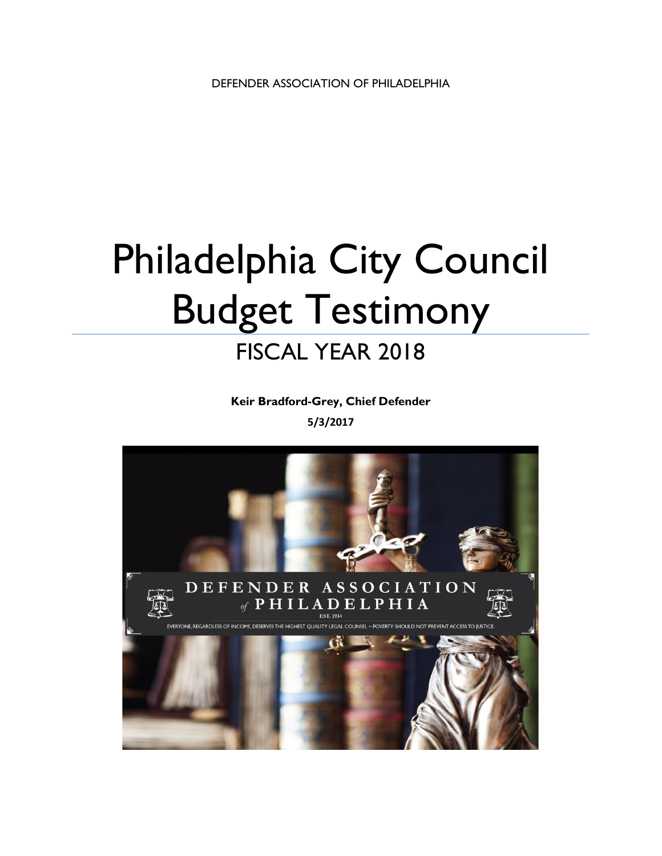# Philadelphia City Council Budget Testimony FISCAL YEAR 2018

**Keir Bradford-Grey, Chief Defender 5/3/2017** 

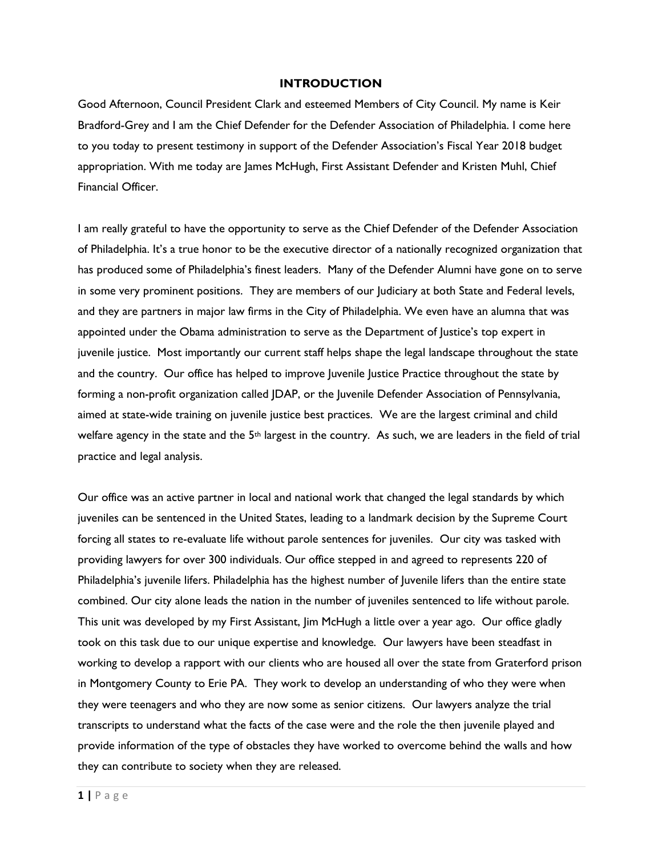### **INTRODUCTION**

Good Afternoon, Council President Clark and esteemed Members of City Council. My name is Keir Bradford-Grey and I am the Chief Defender for the Defender Association of Philadelphia. I come here to you today to present testimony in support of the Defender Association's Fiscal Year 2018 budget appropriation. With me today are James McHugh, First Assistant Defender and Kristen Muhl, Chief Financial Officer.

I am really grateful to have the opportunity to serve as the Chief Defender of the Defender Association of Philadelphia. It's a true honor to be the executive director of a nationally recognized organization that has produced some of Philadelphia's finest leaders. Many of the Defender Alumni have gone on to serve in some very prominent positions. They are members of our Judiciary at both State and Federal levels, and they are partners in major law firms in the City of Philadelphia. We even have an alumna that was appointed under the Obama administration to serve as the Department of Justice's top expert in juvenile justice. Most importantly our current staff helps shape the legal landscape throughout the state and the country. Our office has helped to improve Juvenile Justice Practice throughout the state by forming a non-profit organization called JDAP, or the Juvenile Defender Association of Pennsylvania, aimed at state-wide training on juvenile justice best practices. We are the largest criminal and child welfare agency in the state and the 5th largest in the country. As such, we are leaders in the field of trial practice and legal analysis.

Our office was an active partner in local and national work that changed the legal standards by which juveniles can be sentenced in the United States, leading to a landmark decision by the Supreme Court forcing all states to re-evaluate life without parole sentences for juveniles. Our city was tasked with providing lawyers for over 300 individuals. Our office stepped in and agreed to represents 220 of Philadelphia's juvenile lifers. Philadelphia has the highest number of Juvenile lifers than the entire state combined. Our city alone leads the nation in the number of juveniles sentenced to life without parole. This unit was developed by my First Assistant, Jim McHugh a little over a year ago. Our office gladly took on this task due to our unique expertise and knowledge. Our lawyers have been steadfast in working to develop a rapport with our clients who are housed all over the state from Graterford prison in Montgomery County to Erie PA. They work to develop an understanding of who they were when they were teenagers and who they are now some as senior citizens. Our lawyers analyze the trial transcripts to understand what the facts of the case were and the role the then juvenile played and provide information of the type of obstacles they have worked to overcome behind the walls and how they can contribute to society when they are released.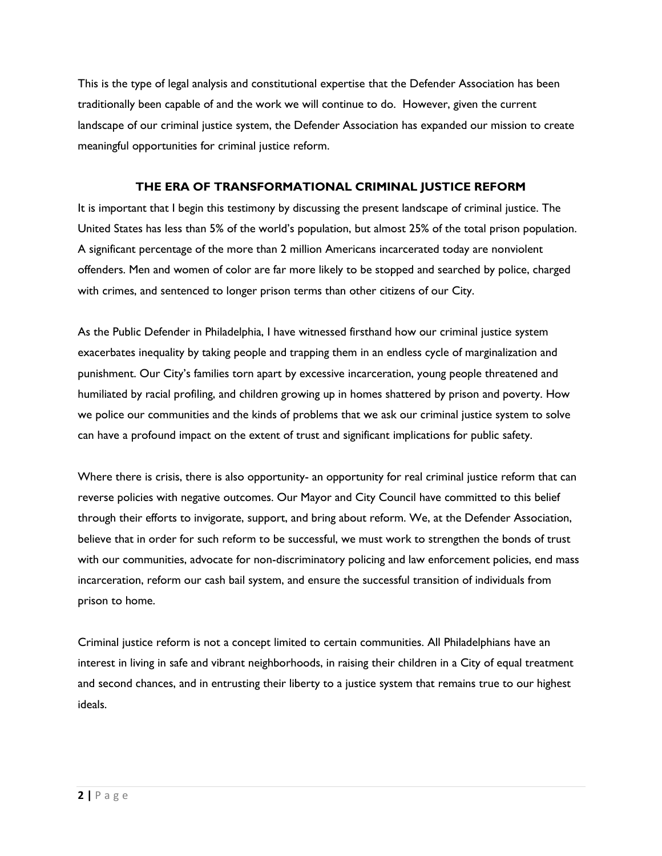This is the type of legal analysis and constitutional expertise that the Defender Association has been traditionally been capable of and the work we will continue to do. However, given the current landscape of our criminal justice system, the Defender Association has expanded our mission to create meaningful opportunities for criminal justice reform.

### **THE ERA OF TRANSFORMATIONAL CRIMINAL JUSTICE REFORM**

It is important that I begin this testimony by discussing the present landscape of criminal justice. The United States has less than 5% of the world's population, but almost 25% of the total prison population. A significant percentage of the more than 2 million Americans incarcerated today are nonviolent offenders. Men and women of color are far more likely to be stopped and searched by police, charged with crimes, and sentenced to longer prison terms than other citizens of our City.

As the Public Defender in Philadelphia, I have witnessed firsthand how our criminal justice system exacerbates inequality by taking people and trapping them in an endless cycle of marginalization and punishment. Our City's families torn apart by excessive incarceration, young people threatened and humiliated by racial profiling, and children growing up in homes shattered by prison and poverty. How we police our communities and the kinds of problems that we ask our criminal justice system to solve can have a profound impact on the extent of trust and significant implications for public safety.

Where there is crisis, there is also opportunity- an opportunity for real criminal justice reform that can reverse policies with negative outcomes. Our Mayor and City Council have committed to this belief through their efforts to invigorate, support, and bring about reform. We, at the Defender Association, believe that in order for such reform to be successful, we must work to strengthen the bonds of trust with our communities, advocate for non-discriminatory policing and law enforcement policies, end mass incarceration, reform our cash bail system, and ensure the successful transition of individuals from prison to home.

Criminal justice reform is not a concept limited to certain communities. All Philadelphians have an interest in living in safe and vibrant neighborhoods, in raising their children in a City of equal treatment and second chances, and in entrusting their liberty to a justice system that remains true to our highest ideals.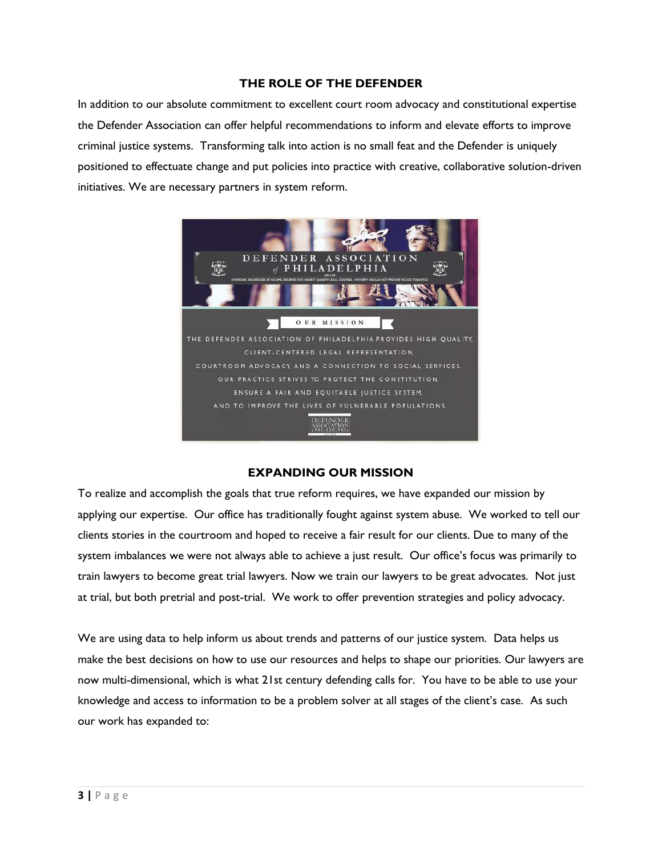### **THE ROLE OF THE DEFENDER**

In addition to our absolute commitment to excellent court room advocacy and constitutional expertise the Defender Association can offer helpful recommendations to inform and elevate efforts to improve criminal justice systems. Transforming talk into action is no small feat and the Defender is uniquely positioned to effectuate change and put policies into practice with creative, collaborative solution-driven initiatives. We are necessary partners in system reform.



### **EXPANDING OUR MISSION**

To realize and accomplish the goals that true reform requires, we have expanded our mission by applying our expertise. Our office has traditionally fought against system abuse. We worked to tell our clients stories in the courtroom and hoped to receive a fair result for our clients. Due to many of the system imbalances we were not always able to achieve a just result. Our office's focus was primarily to train lawyers to become great trial lawyers. Now we train our lawyers to be great advocates. Not just at trial, but both pretrial and post-trial. We work to offer prevention strategies and policy advocacy.

We are using data to help inform us about trends and patterns of our justice system. Data helps us make the best decisions on how to use our resources and helps to shape our priorities. Our lawyers are now multi-dimensional, which is what 21st century defending calls for. You have to be able to use your knowledge and access to information to be a problem solver at all stages of the client's case. As such our work has expanded to: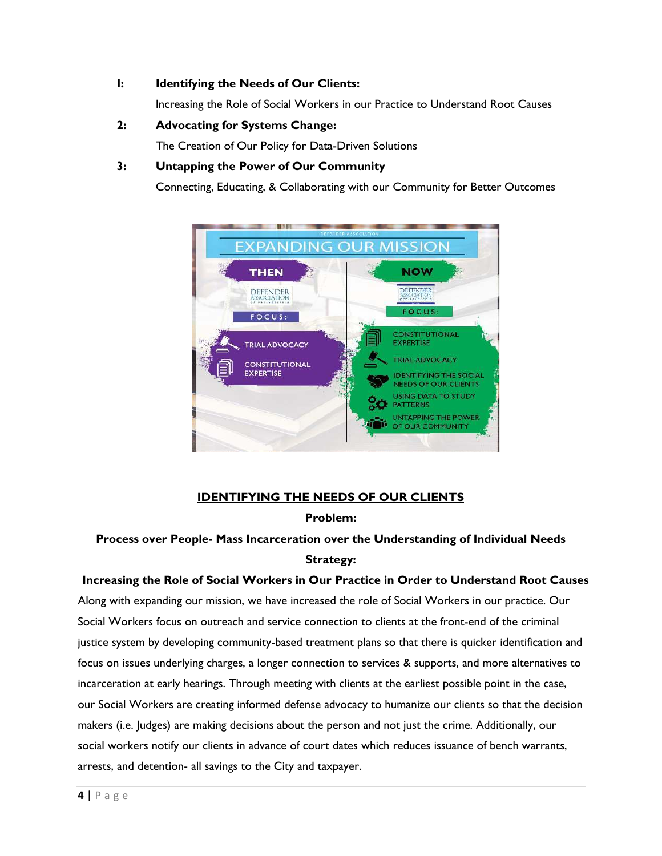### **I: Identifying the Needs of Our Clients:**

Increasing the Role of Social Workers in our Practice to Understand Root Causes

### **2: Advocating for Systems Change:**

The Creation of Our Policy for Data-Driven Solutions

### **3: Untapping the Power of Our Community**

Connecting, Educating, & Collaborating with our Community for Better Outcomes



### **IDENTIFYING THE NEEDS OF OUR CLIENTS**

### **Problem:**

### **Process over People- Mass Incarceration over the Understanding of Individual Needs Strategy:**

### **Increasing the Role of Social Workers in Our Practice in Order to Understand Root Causes**

Along with expanding our mission, we have increased the role of Social Workers in our practice. Our Social Workers focus on outreach and service connection to clients at the front-end of the criminal justice system by developing community-based treatment plans so that there is quicker identification and focus on issues underlying charges, a longer connection to services & supports, and more alternatives to incarceration at early hearings. Through meeting with clients at the earliest possible point in the case, our Social Workers are creating informed defense advocacy to humanize our clients so that the decision makers (i.e. Judges) are making decisions about the person and not just the crime. Additionally, our social workers notify our clients in advance of court dates which reduces issuance of bench warrants, arrests, and detention- all savings to the City and taxpayer.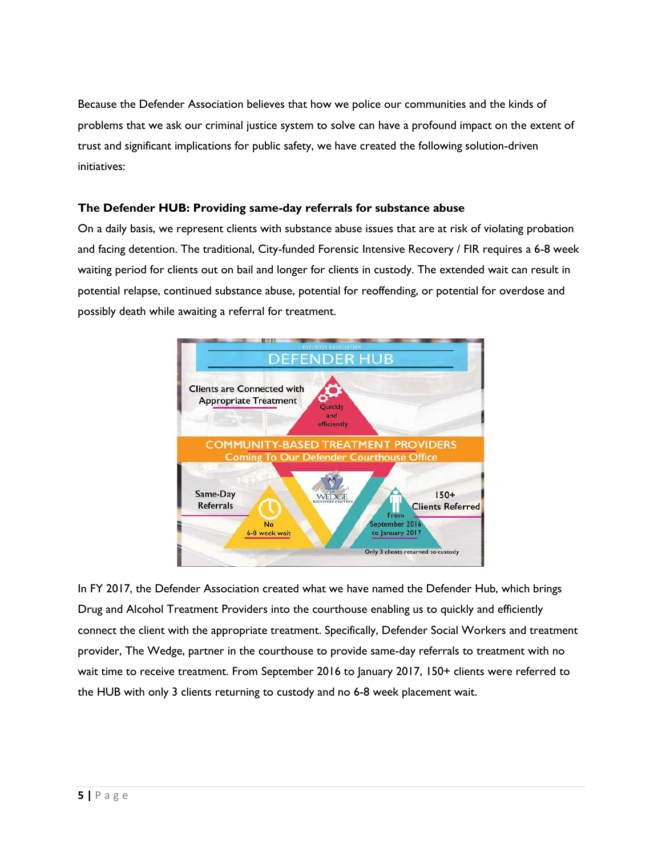Because the Defender Association believes that how we police our communities and the kinds of problems that we ask our criminal justice system to solve can have a profound impact on the extent of trust and significant implications for public safety, we have created the following solution-driven initiatives:

### **The Defender HUB: Providing same-day referrals for substance abuse**

On a daily basis, we represent clients with substance abuse issues that are at risk of violating probation and facing detention. The traditional, City-funded Forensic Intensive Recovery / FIR requires a 6-8 week waiting period for clients out on bail and longer for clients in custody. The extended wait can result in potential relapse, continued substance abuse, potential for reoffending, or potential for overdose and possibly death while awaiting a referral for treatment.



In FY 2017, the Defender Association created what we have named the Defender Hub, which brings Drug and Alcohol Treatment Providers into the courthouse enabling us to quickly and efficiently connect the client with the appropriate treatment. Specifically, Defender Social Workers and treatment provider, The Wedge, partner in the courthouse to provide same-day referrals to treatment with no wait time to receive treatment. From September 2016 to January 2017, 150+ clients were referred to the HUB with only 3 clients returning to custody and no 6-8 week placement wait.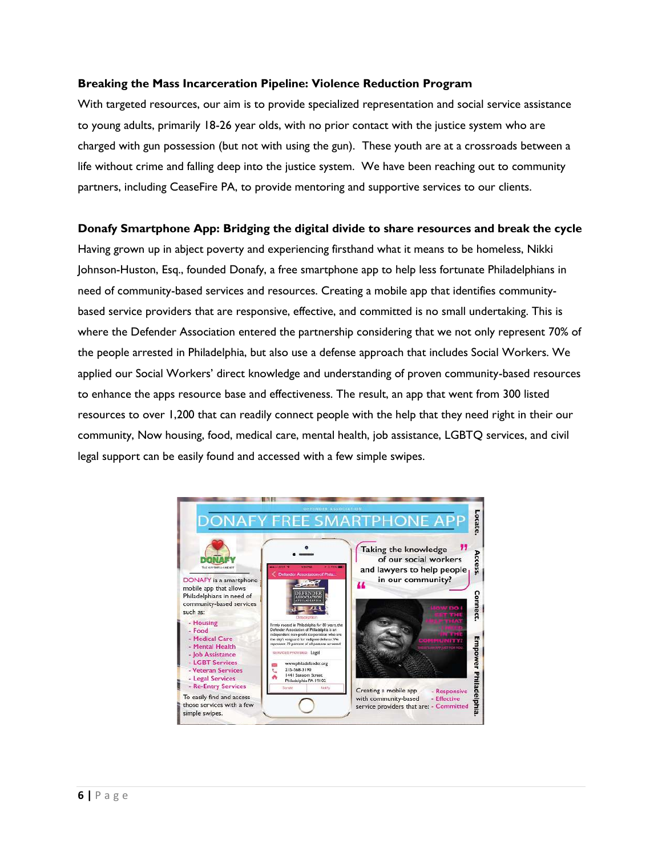### **Breaking the Mass Incarceration Pipeline: Violence Reduction Program**

With targeted resources, our aim is to provide specialized representation and social service assistance to young adults, primarily 18-26 year olds, with no prior contact with the justice system who are charged with gun possession (but not with using the gun). These youth are at a crossroads between a life without crime and falling deep into the justice system. We have been reaching out to community partners, including CeaseFire PA, to provide mentoring and supportive services to our clients.

#### **Donafy Smartphone App: Bridging the digital divide to share resources and break the cycle**

Having grown up in abject poverty and experiencing firsthand what it means to be homeless, Nikki Johnson-Huston, Esq., founded Donafy, a free smartphone app to help less fortunate Philadelphians in need of community-based services and resources. Creating a mobile app that identifies communitybased service providers that are responsive, effective, and committed is no small undertaking. This is where the Defender Association entered the partnership considering that we not only represent 70% of the people arrested in Philadelphia, but also use a defense approach that includes Social Workers. We applied our Social Workers' direct knowledge and understanding of proven community-based resources to enhance the apps resource base and effectiveness. The result, an app that went from 300 listed resources to over 1,200 that can readily connect people with the help that they need right in their our community, Now housing, food, medical care, mental health, job assistance, LGBTQ services, and civil legal support can be easily found and accessed with a few simple swipes.

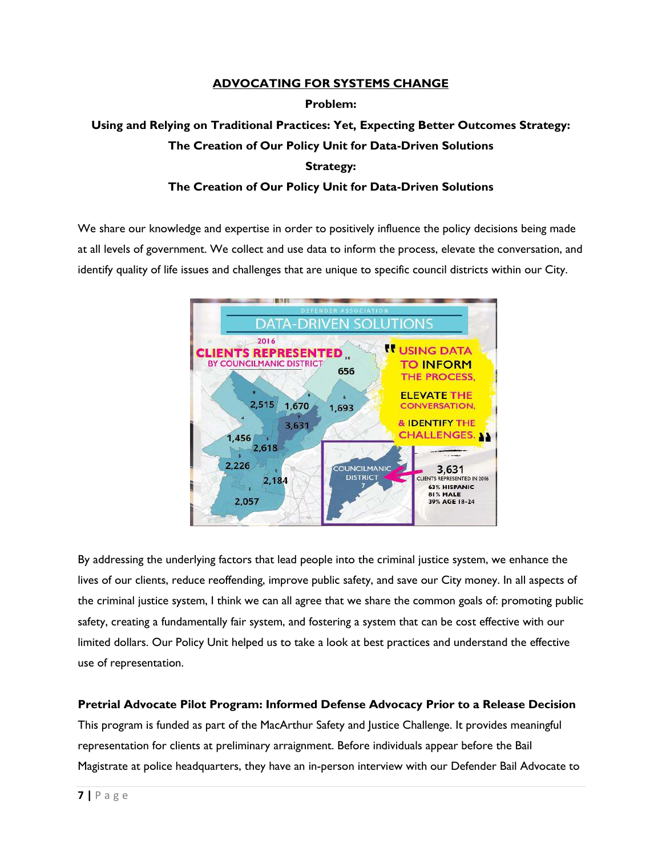# **ADVOCATING FOR SYSTEMS CHANGE Problem: Using and Relying on Traditional Practices: Yet, Expecting Better Outcomes Strategy: The Creation of Our Policy Unit for Data-Driven Solutions**

### **Strategy:**

### **The Creation of Our Policy Unit for Data-Driven Solutions**

We share our knowledge and expertise in order to positively influence the policy decisions being made at all levels of government. We collect and use data to inform the process, elevate the conversation, and identify quality of life issues and challenges that are unique to specific council districts within our City.



By addressing the underlying factors that lead people into the criminal justice system, we enhance the lives of our clients, reduce reoffending, improve public safety, and save our City money. In all aspects of the criminal justice system, I think we can all agree that we share the common goals of: promoting public safety, creating a fundamentally fair system, and fostering a system that can be cost effective with our limited dollars. Our Policy Unit helped us to take a look at best practices and understand the effective use of representation.

### **Pretrial Advocate Pilot Program: Informed Defense Advocacy Prior to a Release Decision**

This program is funded as part of the MacArthur Safety and Justice Challenge. It provides meaningful representation for clients at preliminary arraignment. Before individuals appear before the Bail Magistrate at police headquarters, they have an in-person interview with our Defender Bail Advocate to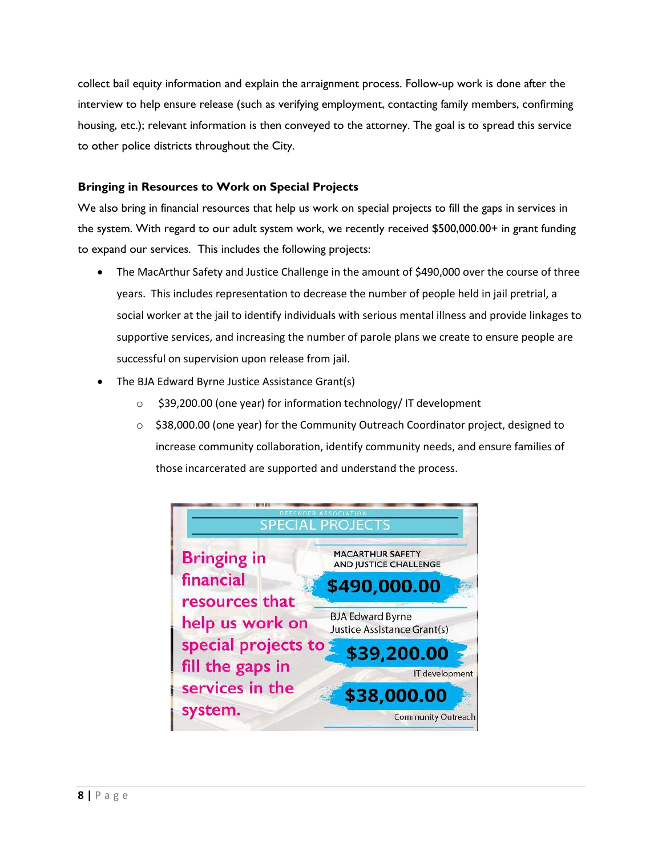collect bail equity information and explain the arraignment process. Follow-up work is done after the interview to help ensure release (such as verifying employment, contacting family members, confirming housing, etc.); relevant information is then conveyed to the attorney. The goal is to spread this service to other police districts throughout the City.

### **Bringing in Resources to Work on Special Projects**

We also bring in financial resources that help us work on special projects to fill the gaps in services in the system. With regard to our adult system work, we recently received \$500,000.00+ in grant funding to expand our services. This includes the following projects:

- The MacArthur Safety and Justice Challenge in the amount of \$490,000 over the course of three years. This includes representation to decrease the number of people held in jail pretrial, a social worker at the jail to identify individuals with serious mental illness and provide linkages to supportive services, and increasing the number of parole plans we create to ensure people are successful on supervision upon release from jail.
- The BJA Edward Byrne Justice Assistance Grant(s)
	- o \$39,200.00 (one year) for information technology/ IT development
	- $\circ$  \$38,000.00 (one year) for the Community Outreach Coordinator project, designed to increase community collaboration, identify community needs, and ensure families of those incarcerated are supported and understand the process.

| DEFENDER ASSOCIATION<br><b>SPECIAL PROJECTS</b> |                                                               |
|-------------------------------------------------|---------------------------------------------------------------|
| <b>Bringing in</b>                              | <b>MACARTHUR SAFETY</b><br>AND JUSTICE CHALLENGE              |
| financial<br>resources that                     | \$490,000.00                                                  |
| help us work on                                 | <b>BJA Edward Byrne</b><br><b>Justice Assistance Grant(s)</b> |
| special projects to<br>fill the gaps in         | \$39,200.00<br>IT development                                 |
| services in the<br>system.                      | \$38,000.00                                                   |
|                                                 | <b>Community Outreach</b>                                     |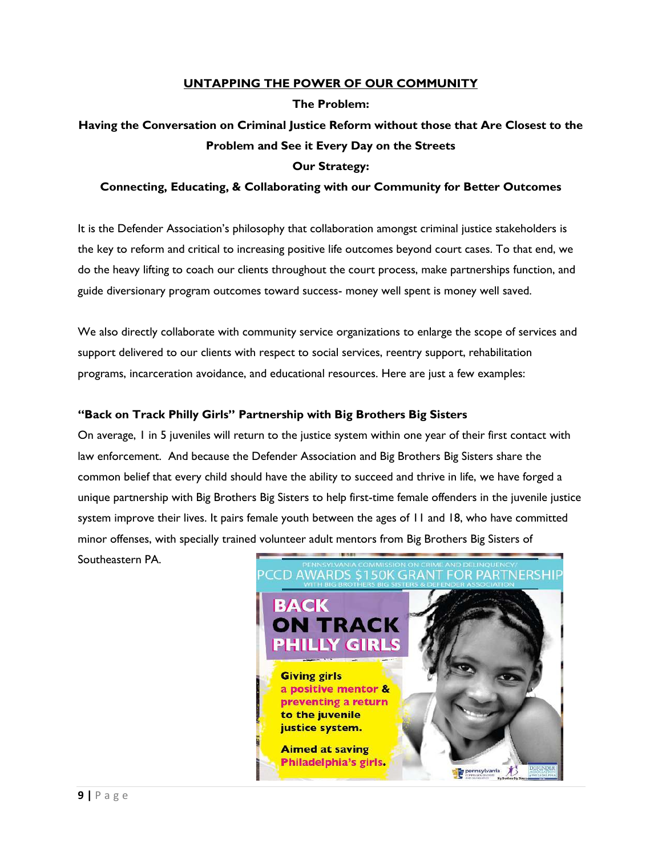### **UNTAPPING THE POWER OF OUR COMMUNITY**

**The Problem:** 

## **Having the Conversation on Criminal Justice Reform without those that Are Closest to the Problem and See it Every Day on the Streets Our Strategy:**

### **Connecting, Educating, & Collaborating with our Community for Better Outcomes**

It is the Defender Association's philosophy that collaboration amongst criminal justice stakeholders is the key to reform and critical to increasing positive life outcomes beyond court cases. To that end, we do the heavy lifting to coach our clients throughout the court process, make partnerships function, and guide diversionary program outcomes toward success- money well spent is money well saved.

We also directly collaborate with community service organizations to enlarge the scope of services and support delivered to our clients with respect to social services, reentry support, rehabilitation programs, incarceration avoidance, and educational resources. Here are just a few examples:

### **"Back on Track Philly Girls" Partnership with Big Brothers Big Sisters**

On average, 1 in 5 juveniles will return to the justice system within one year of their first contact with law enforcement. And because the Defender Association and Big Brothers Big Sisters share the common belief that every child should have the ability to succeed and thrive in life, we have forged a unique partnership with Big Brothers Big Sisters to help first-time female offenders in the juvenile justice system improve their lives. It pairs female youth between the ages of 11 and 18, who have committed minor offenses, with specially trained volunteer adult mentors from Big Brothers Big Sisters of

Southeastern PA.

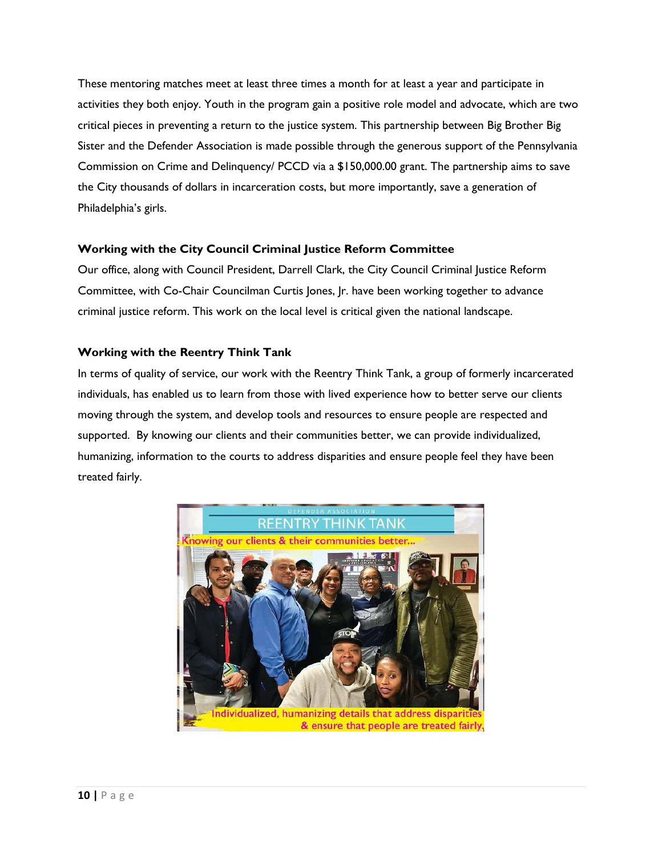These mentoring matches meet at least three times a month for at least a year and participate in activities they both enjoy. Youth in the program gain a positive role model and advocate, which are two critical pieces in preventing a return to the justice system. This partnership between Big Brother Big Sister and the Defender Association is made possible through the generous support of the Pennsylvania Commission on Crime and Delinquency/ PCCD via a \$150,000.00 grant. The partnership aims to save the City thousands of dollars in incarceration costs, but more importantly, save a generation of Philadelphia's girls.

### **Working with the City Council Criminal Justice Reform Committee**

Our office, along with Council President, Darrell Clark, the City Council Criminal Justice Reform Committee, with Co-Chair Councilman Curtis Jones, Jr. have been working together to advance criminal justice reform. This work on the local level is critical given the national landscape.

### **Working with the Reentry Think Tank**

In terms of quality of service, our work with the Reentry Think Tank, a group of formerly incarcerated individuals, has enabled us to learn from those with lived experience how to better serve our clients moving through the system, and develop tools and resources to ensure people are respected and supported. By knowing our clients and their communities better, we can provide individualized, humanizing, information to the courts to address disparities and ensure people feel they have been treated fairly.

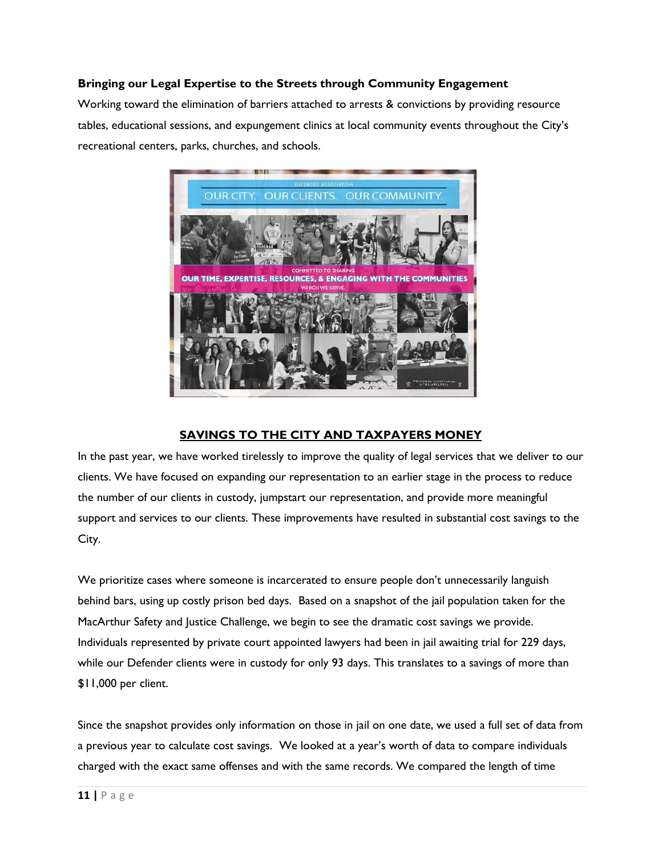### **Bringing our Legal Expertise to the Streets through Community Engagement**

Working toward the elimination of barriers attached to arrests & convictions by providing resource tables, educational sessions, and expungement clinics at local community events throughout the City's recreational centers, parks, churches, and schools.



### **SAVINGS TO THE CITY AND TAXPAYERS MONEY**

In the past year, we have worked tirelessly to improve the quality of legal services that we deliver to our clients. We have focused on expanding our representation to an earlier stage in the process to reduce the number of our clients in custody, jumpstart our representation, and provide more meaningful support and services to our clients. These improvements have resulted in substantial cost savings to the City.

We prioritize cases where someone is incarcerated to ensure people don't unnecessarily languish behind bars, using up costly prison bed days. Based on a snapshot of the jail population taken for the MacArthur Safety and Justice Challenge, we begin to see the dramatic cost savings we provide. Individuals represented by private court appointed lawyers had been in jail awaiting trial for 229 days, while our Defender clients were in custody for only 93 days. This translates to a savings of more than \$11,000 per client.

Since the snapshot provides only information on those in jail on one date, we used a full set of data from a previous year to calculate cost savings. We looked at a year's worth of data to compare individuals charged with the exact same offenses and with the same records. We compared the length of time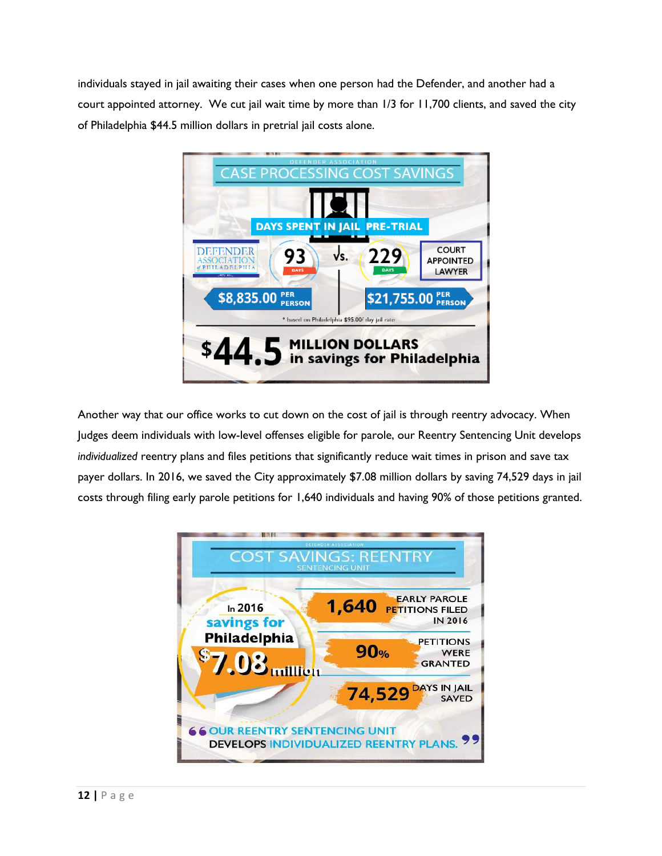individuals stayed in jail awaiting their cases when one person had the Defender, and another had a court appointed attorney. We cut jail wait time by more than 1/3 for 11,700 clients, and saved the city of Philadelphia \$44.5 million dollars in pretrial jail costs alone.



Another way that our office works to cut down on the cost of jail is through reentry advocacy. When Judges deem individuals with low-level offenses eligible for parole, our Reentry Sentencing Unit develops *individualized* reentry plans and files petitions that significantly reduce wait times in prison and save tax payer dollars. In 2016, we saved the City approximately \$7.08 million dollars by saving 74,529 days in jail costs through filing early parole petitions for 1,640 individuals and having 90% of those petitions granted.

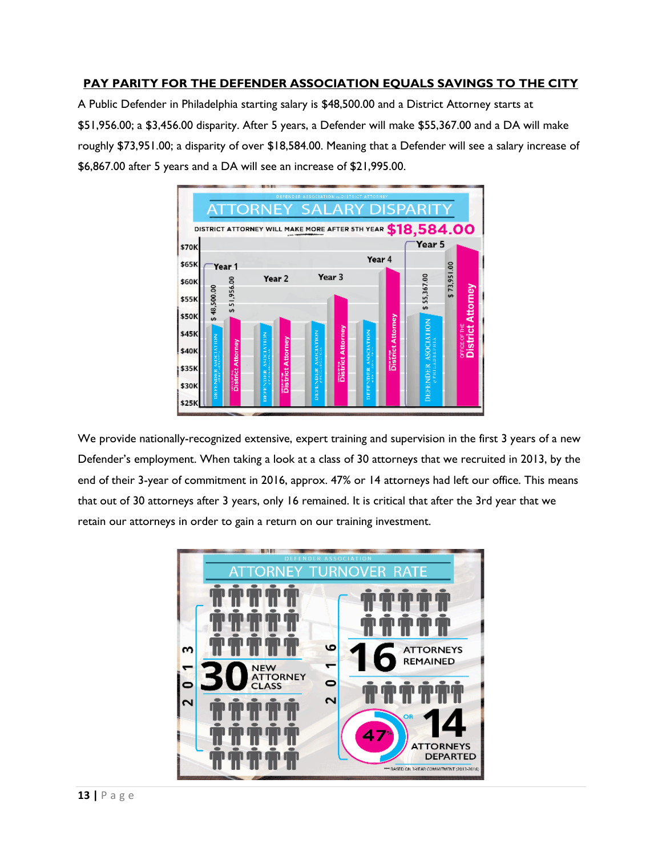### **PAY PARITY FOR THE DEFENDER ASSOCIATION EQUALS SAVINGS TO THE CITY**

A Public Defender in Philadelphia starting salary is \$48,500.00 and a District Attorney starts at \$51,956.00; a \$3,456.00 disparity. After 5 years, a Defender will make \$55,367.00 and a DA will make roughly \$73,951.00; a disparity of over \$18,584.00. Meaning that a Defender will see a salary increase of \$6,867.00 after 5 years and a DA will see an increase of \$21,995.00.



We provide nationally-recognized extensive, expert training and supervision in the first 3 years of a new Defender's employment. When taking a look at a class of 30 attorneys that we recruited in 2013, by the end of their 3-year of commitment in 2016, approx. 47% or 14 attorneys had left our office. This means that out of 30 attorneys after 3 years, only 16 remained. It is critical that after the 3rd year that we retain our attorneys in order to gain a return on our training investment.